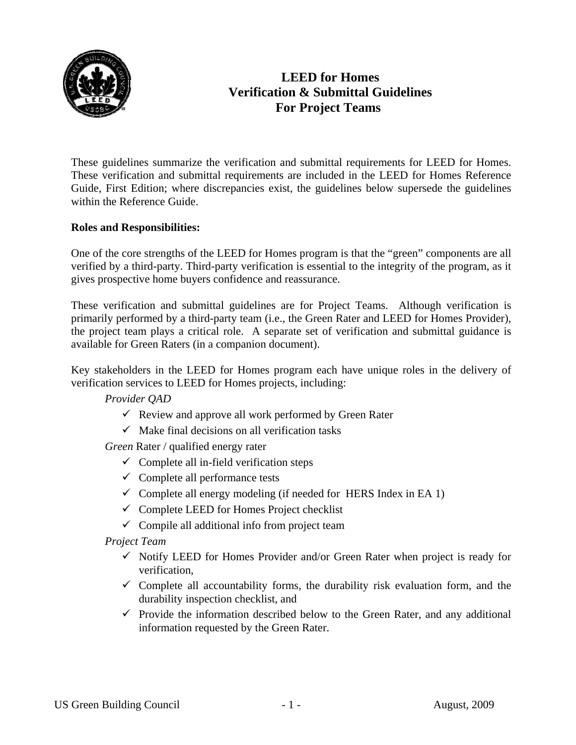

# **LEED for Homes Verification & Submittal Guidelines For Project Teams**

These guidelines summarize the verification and submittal requirements for LEED for Homes. These verification and submittal requirements are included in the LEED for Homes Reference Guide, First Edition; where discrepancies exist, the guidelines below supersede the guidelines within the Reference Guide.

## **Roles and Responsibilities:**

One of the core strengths of the LEED for Homes program is that the "green" components are all verified by a third-party. Third-party verification is essential to the integrity of the program, as it gives prospective home buyers confidence and reassurance.

These verification and submittal guidelines are for Project Teams. Although verification is primarily performed by a third-party team (i.e., the Green Rater and LEED for Homes Provider), the project team plays a critical role. A separate set of verification and submittal guidance is available for Green Raters (in a companion document).

Key stakeholders in the LEED for Homes program each have unique roles in the delivery of verification services to LEED for Homes projects, including:

*Provider QAD*

- $\checkmark$  Review and approve all work performed by Green Rater
- $\checkmark$  Make final decisions on all verification tasks

*Green* Rater / qualified energy rater

- $\checkmark$  Complete all in-field verification steps
- $\checkmark$  Complete all performance tests
- $\checkmark$  Complete all energy modeling (if needed for HERS Index in EA 1)
- $\checkmark$  Complete LEED for Homes Project checklist
- $\checkmark$  Compile all additional info from project team

*Project Team* 

- $\checkmark$  Notify LEED for Homes Provider and/or Green Rater when project is ready for verification,
- $\checkmark$  Complete all accountability forms, the durability risk evaluation form, and the durability inspection checklist, and
- $\checkmark$  Provide the information described below to the Green Rater, and any additional information requested by the Green Rater.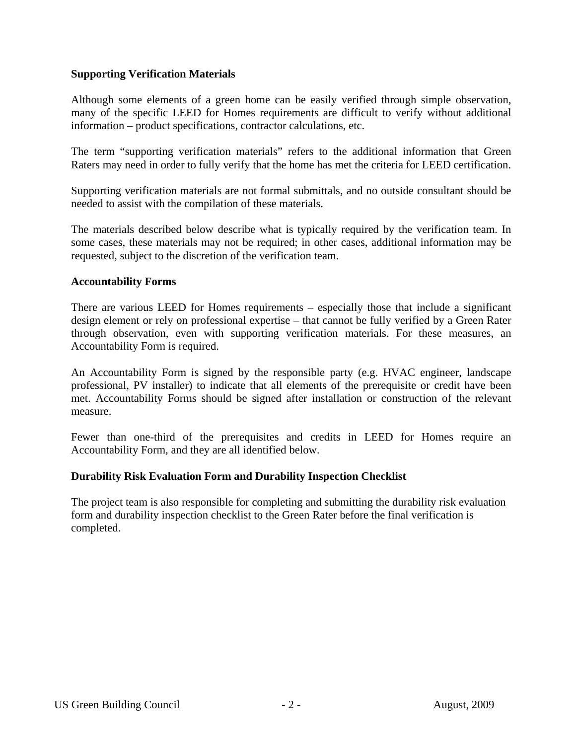### **Supporting Verification Materials**

Although some elements of a green home can be easily verified through simple observation, many of the specific LEED for Homes requirements are difficult to verify without additional information – product specifications, contractor calculations, etc.

The term "supporting verification materials" refers to the additional information that Green Raters may need in order to fully verify that the home has met the criteria for LEED certification.

Supporting verification materials are not formal submittals, and no outside consultant should be needed to assist with the compilation of these materials.

The materials described below describe what is typically required by the verification team. In some cases, these materials may not be required; in other cases, additional information may be requested, subject to the discretion of the verification team.

### **Accountability Forms**

There are various LEED for Homes requirements – especially those that include a significant design element or rely on professional expertise – that cannot be fully verified by a Green Rater through observation, even with supporting verification materials. For these measures, an Accountability Form is required.

An Accountability Form is signed by the responsible party (e.g. HVAC engineer, landscape professional, PV installer) to indicate that all elements of the prerequisite or credit have been met. Accountability Forms should be signed after installation or construction of the relevant measure.

Fewer than one-third of the prerequisites and credits in LEED for Homes require an Accountability Form, and they are all identified below.

## **Durability Risk Evaluation Form and Durability Inspection Checklist**

The project team is also responsible for completing and submitting the durability risk evaluation form and durability inspection checklist to the Green Rater before the final verification is completed.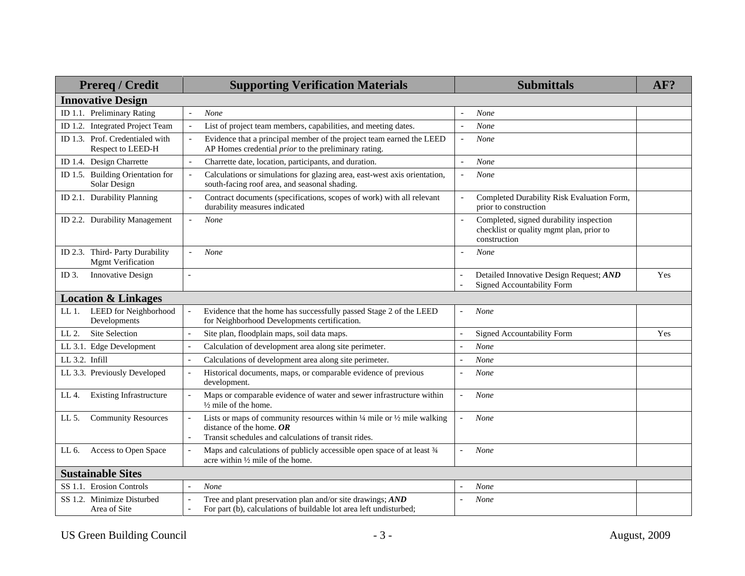| <b>Prereq / Credit</b>                                      | <b>Supporting Verification Materials</b>                                                                                                                                                                                   | <b>Submittals</b>                                                                                                     | AF? |
|-------------------------------------------------------------|----------------------------------------------------------------------------------------------------------------------------------------------------------------------------------------------------------------------------|-----------------------------------------------------------------------------------------------------------------------|-----|
| <b>Innovative Design</b>                                    |                                                                                                                                                                                                                            |                                                                                                                       |     |
| ID 1.1. Preliminary Rating                                  | None                                                                                                                                                                                                                       | None                                                                                                                  |     |
| ID 1.2. Integrated Project Team                             | List of project team members, capabilities, and meeting dates.                                                                                                                                                             | None<br>$\overline{\phantom{a}}$                                                                                      |     |
| ID 1.3. Prof. Credentialed with<br>Respect to LEED-H        | Evidence that a principal member of the project team earned the LEED<br>AP Homes credential <i>prior</i> to the preliminary rating.                                                                                        | None                                                                                                                  |     |
| ID 1.4. Design Charrette                                    | Charrette date, location, participants, and duration.                                                                                                                                                                      | None<br>$\overline{\phantom{a}}$                                                                                      |     |
| ID 1.5. Building Orientation for<br>Solar Design            | Calculations or simulations for glazing area, east-west axis orientation,<br>$\overline{\phantom{a}}$<br>south-facing roof area, and seasonal shading.                                                                     | None<br>$\overline{\phantom{0}}$                                                                                      |     |
| ID 2.1. Durability Planning                                 | Contract documents (specifications, scopes of work) with all relevant<br>durability measures indicated                                                                                                                     | Completed Durability Risk Evaluation Form,<br>prior to construction                                                   |     |
| ID 2.2. Durability Management                               | <b>None</b><br>$\overline{\phantom{a}}$                                                                                                                                                                                    | Completed, signed durability inspection<br>$\overline{a}$<br>checklist or quality mgmt plan, prior to<br>construction |     |
| ID 2.3. Third- Party Durability<br><b>Mgmt Verification</b> | <b>None</b>                                                                                                                                                                                                                | None<br>÷                                                                                                             |     |
| ID 3.<br><b>Innovative Design</b>                           | $\overline{a}$                                                                                                                                                                                                             | Detailed Innovative Design Request; AND<br>Signed Accountability Form                                                 | Yes |
| <b>Location &amp; Linkages</b>                              |                                                                                                                                                                                                                            |                                                                                                                       |     |
| <b>LEED</b> for Neighborhood<br>LL 1.<br>Developments       | Evidence that the home has successfully passed Stage 2 of the LEED<br>for Neighborhood Developments certification.                                                                                                         | <b>None</b>                                                                                                           |     |
| Site Selection<br>LL 2.                                     | Site plan, floodplain maps, soil data maps.                                                                                                                                                                                | Signed Accountability Form                                                                                            | Yes |
| LL 3.1. Edge Development                                    | Calculation of development area along site perimeter.                                                                                                                                                                      | None                                                                                                                  |     |
| LL 3.2. Infill                                              | Calculations of development area along site perimeter.<br>$\overline{\phantom{0}}$                                                                                                                                         | None                                                                                                                  |     |
| LL 3.3. Previously Developed                                | Historical documents, maps, or comparable evidence of previous<br>$\equiv$<br>development.                                                                                                                                 | None<br>L.                                                                                                            |     |
| <b>Existing Infrastructure</b><br>LL 4.                     | Maps or comparable evidence of water and sewer infrastructure within<br>$\frac{1}{2}$ mile of the home.                                                                                                                    | None<br>$\overline{a}$                                                                                                |     |
| <b>Community Resources</b><br>LL 5.                         | Lists or maps of community resources within $\frac{1}{4}$ mile or $\frac{1}{2}$ mile walking<br>$\overline{\phantom{a}}$<br>distance of the home. $OR$<br>Transit schedules and calculations of transit rides.<br>$\equiv$ | <b>None</b><br>$\equiv$                                                                                               |     |
| LL 6.<br>Access to Open Space                               | Maps and calculations of publicly accessible open space of at least 3/4<br>$\overline{\phantom{0}}$<br>acre within $\frac{1}{2}$ mile of the home.                                                                         | None<br>$\equiv$                                                                                                      |     |
| <b>Sustainable Sites</b>                                    |                                                                                                                                                                                                                            |                                                                                                                       |     |
| SS 1.1. Erosion Controls                                    | None                                                                                                                                                                                                                       | None                                                                                                                  |     |
| SS 1.2. Minimize Disturbed<br>Area of Site                  | Tree and plant preservation plan and/or site drawings; AND<br>For part (b), calculations of buildable lot area left undisturbed;                                                                                           | <b>None</b>                                                                                                           |     |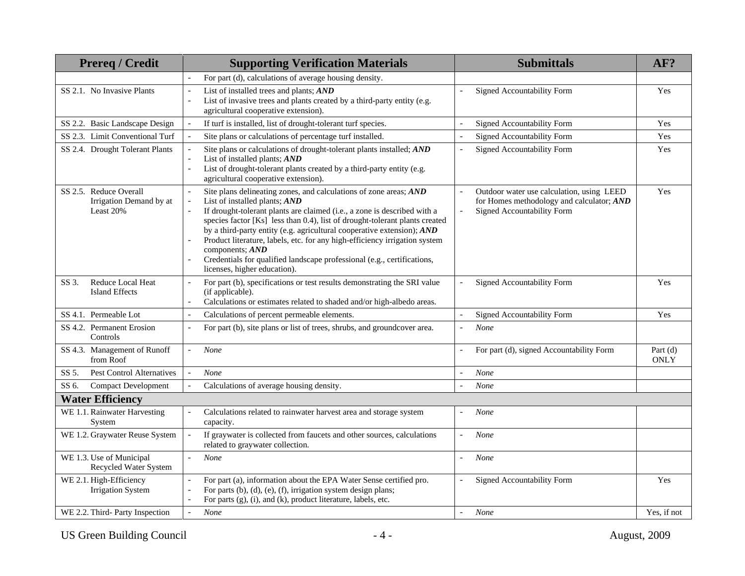| <b>Prereq / Credit</b>                                         | <b>Supporting Verification Materials</b>                                                                                                                                                                                                                                                                                                                                                                                                                                                                                                                                          | <b>Submittals</b>                                                                                                          | AF?                       |
|----------------------------------------------------------------|-----------------------------------------------------------------------------------------------------------------------------------------------------------------------------------------------------------------------------------------------------------------------------------------------------------------------------------------------------------------------------------------------------------------------------------------------------------------------------------------------------------------------------------------------------------------------------------|----------------------------------------------------------------------------------------------------------------------------|---------------------------|
|                                                                | For part (d), calculations of average housing density.<br>$\overline{a}$                                                                                                                                                                                                                                                                                                                                                                                                                                                                                                          |                                                                                                                            |                           |
| SS 2.1. No Invasive Plants                                     | List of installed trees and plants; AND<br>$\overline{\phantom{a}}$<br>List of invasive trees and plants created by a third-party entity (e.g.<br>$\overline{a}$<br>agricultural cooperative extension).                                                                                                                                                                                                                                                                                                                                                                          | Signed Accountability Form                                                                                                 | Yes                       |
| SS 2.2. Basic Landscape Design                                 | If turf is installed, list of drought-tolerant turf species.                                                                                                                                                                                                                                                                                                                                                                                                                                                                                                                      | Signed Accountability Form                                                                                                 | Yes                       |
| SS 2.3. Limit Conventional Turf                                | Site plans or calculations of percentage turf installed.                                                                                                                                                                                                                                                                                                                                                                                                                                                                                                                          | Signed Accountability Form                                                                                                 | Yes                       |
| SS 2.4. Drought Tolerant Plants                                | Site plans or calculations of drought-tolerant plants installed; AND<br>List of installed plants; AND<br>List of drought-tolerant plants created by a third-party entity (e.g.<br>$\frac{1}{2}$<br>agricultural cooperative extension).                                                                                                                                                                                                                                                                                                                                           | Signed Accountability Form<br>$\bar{ }$                                                                                    | Yes                       |
| SS 2.5. Reduce Overall<br>Irrigation Demand by at<br>Least 20% | Site plans delineating zones, and calculations of zone areas; AND<br>List of installed plants; AND<br>$\overline{a}$<br>If drought-tolerant plants are claimed (i.e., a zone is described with a<br>$\equiv$<br>species factor [Ks] less than 0.4), list of drought-tolerant plants created<br>by a third-party entity (e.g. agricultural cooperative extension); AND<br>Product literature, labels, etc. for any high-efficiency irrigation system<br>components; AND<br>Credentials for qualified landscape professional (e.g., certifications,<br>licenses, higher education). | Outdoor water use calculation, using LEED<br>for Homes methodology and calculator; AND<br>Signed Accountability Form<br>L, | Yes                       |
| <b>Reduce Local Heat</b><br>SS 3.<br>Island Effects            | For part (b), specifications or test results demonstrating the SRI value<br>$\overline{\phantom{a}}$<br>(if applicable).<br>Calculations or estimates related to shaded and/or high-albedo areas.                                                                                                                                                                                                                                                                                                                                                                                 | Signed Accountability Form<br>$\equiv$                                                                                     | Yes                       |
| SS 4.1. Permeable Lot                                          | Calculations of percent permeable elements.<br>$\equiv$                                                                                                                                                                                                                                                                                                                                                                                                                                                                                                                           | Signed Accountability Form                                                                                                 | Yes                       |
| SS 4.2. Permanent Erosion<br>Controls                          | For part (b), site plans or list of trees, shrubs, and groundcover area.                                                                                                                                                                                                                                                                                                                                                                                                                                                                                                          | None                                                                                                                       |                           |
| SS 4.3. Management of Runoff<br>from Roof                      | None<br>$\overline{\phantom{a}}$                                                                                                                                                                                                                                                                                                                                                                                                                                                                                                                                                  | For part (d), signed Accountability Form<br>$\equiv$                                                                       | Part $(d)$<br><b>ONLY</b> |
| SS 5.<br><b>Pest Control Alternatives</b>                      | None<br>$\overline{a}$                                                                                                                                                                                                                                                                                                                                                                                                                                                                                                                                                            | None<br>$\overline{a}$                                                                                                     |                           |
| SS 6.<br><b>Compact Development</b>                            | Calculations of average housing density.<br>$\overline{\phantom{a}}$                                                                                                                                                                                                                                                                                                                                                                                                                                                                                                              | None<br>$\qquad \qquad -$                                                                                                  |                           |
| <b>Water Efficiency</b>                                        |                                                                                                                                                                                                                                                                                                                                                                                                                                                                                                                                                                                   |                                                                                                                            |                           |
| WE 1.1. Rainwater Harvesting<br>System                         | Calculations related to rainwater harvest area and storage system<br>$\overline{a}$<br>capacity.                                                                                                                                                                                                                                                                                                                                                                                                                                                                                  | None                                                                                                                       |                           |
| WE 1.2. Graywater Reuse System                                 | If graywater is collected from faucets and other sources, calculations<br>$\equiv$<br>related to graywater collection.                                                                                                                                                                                                                                                                                                                                                                                                                                                            | None<br>$\overline{a}$                                                                                                     |                           |
| WE 1.3. Use of Municipal<br>Recycled Water System              | None<br>$\overline{\phantom{a}}$                                                                                                                                                                                                                                                                                                                                                                                                                                                                                                                                                  | None                                                                                                                       |                           |
| WE 2.1. High-Efficiency<br><b>Irrigation System</b>            | For part (a), information about the EPA Water Sense certified pro.<br>$\overline{\phantom{a}}$<br>For parts (b), (d), (e), (f), irrigation system design plans;<br>$\overline{a}$<br>For parts $(g)$ , $(i)$ , and $(k)$ , product literature, labels, etc.                                                                                                                                                                                                                                                                                                                       | Signed Accountability Form<br>$\equiv$                                                                                     | Yes                       |
| WE 2.2. Third- Party Inspection                                | <b>None</b><br>$\overline{\phantom{a}}$                                                                                                                                                                                                                                                                                                                                                                                                                                                                                                                                           | $\overline{a}$<br><b>None</b>                                                                                              | Yes, if not               |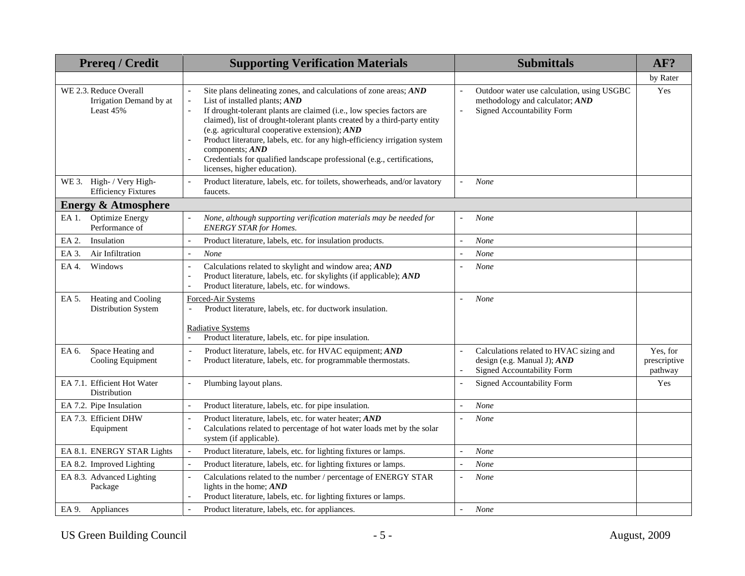| <b>Prereq / Credit</b>                                         | <b>Supporting Verification Materials</b>                                                                                                                                                                                                                                                                                                                                                                                                                                                                                     | <b>Submittals</b>                                                                                                                              | AF?                                 |
|----------------------------------------------------------------|------------------------------------------------------------------------------------------------------------------------------------------------------------------------------------------------------------------------------------------------------------------------------------------------------------------------------------------------------------------------------------------------------------------------------------------------------------------------------------------------------------------------------|------------------------------------------------------------------------------------------------------------------------------------------------|-------------------------------------|
|                                                                |                                                                                                                                                                                                                                                                                                                                                                                                                                                                                                                              |                                                                                                                                                | by Rater                            |
| WE 2.3. Reduce Overall<br>Irrigation Demand by at<br>Least 45% | Site plans delineating zones, and calculations of zone areas; AND<br>List of installed plants; AND<br>÷,<br>If drought-tolerant plants are claimed (i.e., low species factors are<br>claimed), list of drought-tolerant plants created by a third-party entity<br>(e.g. agricultural cooperative extension); AND<br>Product literature, labels, etc. for any high-efficiency irrigation system<br>components; AND<br>Credentials for qualified landscape professional (e.g., certifications,<br>licenses, higher education). | Outdoor water use calculation, using USGBC<br>methodology and calculator; AND<br><b>Signed Accountability Form</b><br>$\overline{\phantom{a}}$ | Yes                                 |
| WE 3. High- / Very High-<br><b>Efficiency Fixtures</b>         | Product literature, labels, etc. for toilets, showerheads, and/or lavatory<br>$\equiv$<br>faucets.                                                                                                                                                                                                                                                                                                                                                                                                                           | <b>None</b><br>$\overline{\phantom{a}}$                                                                                                        |                                     |
| <b>Energy &amp; Atmosphere</b>                                 |                                                                                                                                                                                                                                                                                                                                                                                                                                                                                                                              |                                                                                                                                                |                                     |
| <b>Optimize Energy</b><br>EA 1.<br>Performance of              | None, although supporting verification materials may be needed for<br><b>ENERGY STAR for Homes.</b>                                                                                                                                                                                                                                                                                                                                                                                                                          | None                                                                                                                                           |                                     |
| EA 2.<br>Insulation                                            | Product literature, labels, etc. for insulation products.                                                                                                                                                                                                                                                                                                                                                                                                                                                                    | <b>None</b>                                                                                                                                    |                                     |
| EA 3.<br>Air Infiltration                                      | None                                                                                                                                                                                                                                                                                                                                                                                                                                                                                                                         | None<br>$\overline{\phantom{0}}$                                                                                                               |                                     |
| Windows<br>EA 4.                                               | Calculations related to skylight and window area; AND<br>Product literature, labels, etc. for skylights (if applicable); AND<br>Product literature, labels, etc. for windows.<br>$\overline{\phantom{0}}$                                                                                                                                                                                                                                                                                                                    | <b>None</b>                                                                                                                                    |                                     |
| Heating and Cooling<br>EA 5.<br>Distribution System            | Forced-Air Systems<br>Product literature, labels, etc. for ductwork insulation.<br>$\equiv$<br><b>Radiative Systems</b><br>Product literature, labels, etc. for pipe insulation.                                                                                                                                                                                                                                                                                                                                             | <b>None</b><br>$\overline{\phantom{a}}$                                                                                                        |                                     |
| Space Heating and<br>EA 6.<br>Cooling Equipment                | Product literature, labels, etc. for HVAC equipment; AND<br>Product literature, labels, etc. for programmable thermostats.<br>$\equiv$                                                                                                                                                                                                                                                                                                                                                                                       | Calculations related to HVAC sizing and<br>design (e.g. Manual J); AND<br>Signed Accountability Form                                           | Yes, for<br>prescriptive<br>pathway |
| EA 7.1. Efficient Hot Water<br>Distribution                    | Plumbing layout plans.<br>$\overline{\phantom{a}}$                                                                                                                                                                                                                                                                                                                                                                                                                                                                           | Signed Accountability Form<br>$\overline{\phantom{a}}$                                                                                         | Yes                                 |
| EA 7.2. Pipe Insulation                                        | Product literature, labels, etc. for pipe insulation.                                                                                                                                                                                                                                                                                                                                                                                                                                                                        | None                                                                                                                                           |                                     |
| EA 7.3. Efficient DHW<br>Equipment                             | Product literature, labels, etc. for water heater; AND<br>Calculations related to percentage of hot water loads met by the solar<br>system (if applicable).                                                                                                                                                                                                                                                                                                                                                                  | None                                                                                                                                           |                                     |
| EA 8.1. ENERGY STAR Lights                                     | Product literature, labels, etc. for lighting fixtures or lamps.                                                                                                                                                                                                                                                                                                                                                                                                                                                             | None<br>$\overline{\phantom{0}}$                                                                                                               |                                     |
| EA 8.2. Improved Lighting                                      | Product literature, labels, etc. for lighting fixtures or lamps.<br>$\equiv$                                                                                                                                                                                                                                                                                                                                                                                                                                                 | None<br>$\overline{\phantom{a}}$                                                                                                               |                                     |
| EA 8.3. Advanced Lighting<br>Package                           | Calculations related to the number / percentage of ENERGY STAR<br>$\overline{\phantom{a}}$<br>lights in the home; AND<br>Product literature, labels, etc. for lighting fixtures or lamps.                                                                                                                                                                                                                                                                                                                                    | None<br>$\overline{\phantom{a}}$                                                                                                               |                                     |
| Appliances<br>EA 9.                                            | Product literature, labels, etc. for appliances.                                                                                                                                                                                                                                                                                                                                                                                                                                                                             | $\overline{a}$<br><b>None</b>                                                                                                                  |                                     |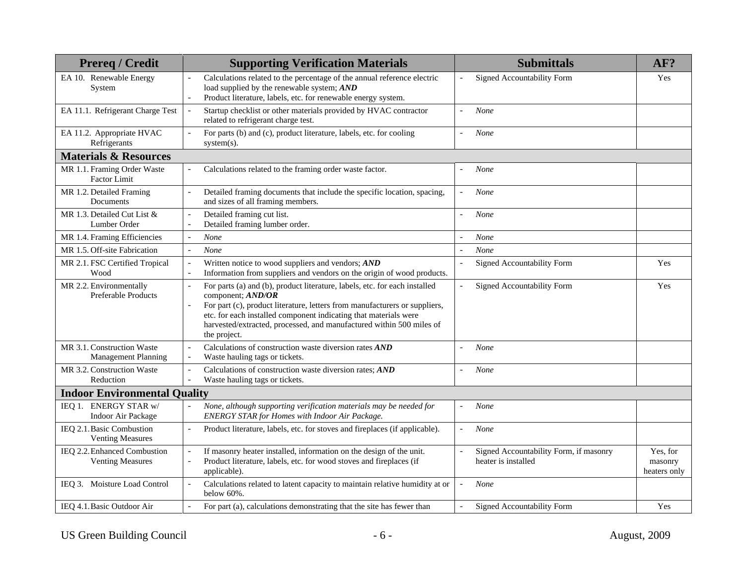| <b>Prereq / Credit</b>                                   | <b>Supporting Verification Materials</b>                                                                                                                                                                                                                                                                                                                                | <b>Submittals</b>                                             | AF?                                 |
|----------------------------------------------------------|-------------------------------------------------------------------------------------------------------------------------------------------------------------------------------------------------------------------------------------------------------------------------------------------------------------------------------------------------------------------------|---------------------------------------------------------------|-------------------------------------|
| EA 10. Renewable Energy<br>System                        | Calculations related to the percentage of the annual reference electric<br>load supplied by the renewable system; AND<br>Product literature, labels, etc. for renewable energy system.<br>$\overline{\phantom{a}}$                                                                                                                                                      | Signed Accountability Form                                    | Yes                                 |
| EA 11.1. Refrigerant Charge Test                         | Startup checklist or other materials provided by HVAC contractor<br>related to refrigerant charge test.                                                                                                                                                                                                                                                                 | None                                                          |                                     |
| EA 11.2. Appropriate HVAC<br>Refrigerants                | For parts (b) and (c), product literature, labels, etc. for cooling<br>system(s).                                                                                                                                                                                                                                                                                       | None                                                          |                                     |
| <b>Materials &amp; Resources</b>                         |                                                                                                                                                                                                                                                                                                                                                                         |                                                               |                                     |
| MR 1.1. Framing Order Waste<br><b>Factor Limit</b>       | Calculations related to the framing order waste factor.                                                                                                                                                                                                                                                                                                                 | None                                                          |                                     |
| MR 1.2. Detailed Framing<br>Documents                    | Detailed framing documents that include the specific location, spacing,<br>$\overline{\phantom{a}}$<br>and sizes of all framing members.                                                                                                                                                                                                                                | None<br>$\overline{a}$                                        |                                     |
| MR 1.3. Detailed Cut List &<br>Lumber Order              | Detailed framing cut list.<br>$\overline{\phantom{a}}$<br>Detailed framing lumber order.                                                                                                                                                                                                                                                                                | None                                                          |                                     |
| MR 1.4. Framing Efficiencies                             | <b>None</b>                                                                                                                                                                                                                                                                                                                                                             | None                                                          |                                     |
| MR 1.5. Off-site Fabrication                             | None<br>$\overline{a}$                                                                                                                                                                                                                                                                                                                                                  | None<br>L.                                                    |                                     |
| MR 2.1. FSC Certified Tropical<br>Wood                   | Written notice to wood suppliers and vendors; AND<br>Information from suppliers and vendors on the origin of wood products.                                                                                                                                                                                                                                             | Signed Accountability Form                                    | Yes                                 |
| MR 2.2. Environmentally<br><b>Preferable Products</b>    | For parts (a) and (b), product literature, labels, etc. for each installed<br>$\equiv$<br>component; AND/OR<br>For part (c), product literature, letters from manufacturers or suppliers,<br>$\overline{a}$<br>etc. for each installed component indicating that materials were<br>harvested/extracted, processed, and manufactured within 500 miles of<br>the project. | Signed Accountability Form                                    | Yes                                 |
| MR 3.1. Construction Waste<br><b>Management Planning</b> | Calculations of construction waste diversion rates AND<br>Waste hauling tags or tickets.<br>$\overline{a}$                                                                                                                                                                                                                                                              | None                                                          |                                     |
| MR 3.2. Construction Waste<br>Reduction                  | Calculations of construction waste diversion rates; AND<br>$\equiv$<br>Waste hauling tags or tickets.                                                                                                                                                                                                                                                                   | None<br>$\equiv$                                              |                                     |
| <b>Indoor Environmental Quality</b>                      |                                                                                                                                                                                                                                                                                                                                                                         |                                                               |                                     |
| IEQ 1. ENERGY STAR w/<br>Indoor Air Package              | None, although supporting verification materials may be needed for<br>ENERGY STAR for Homes with Indoor Air Package.                                                                                                                                                                                                                                                    | None<br>$\overline{a}$                                        |                                     |
| IEQ 2.1. Basic Combustion<br><b>Venting Measures</b>     | Product literature, labels, etc. for stoves and fireplaces (if applicable).<br>$\overline{\phantom{a}}$                                                                                                                                                                                                                                                                 | None<br>$\equiv$                                              |                                     |
| IEQ 2.2. Enhanced Combustion<br><b>Venting Measures</b>  | If masonry heater installed, information on the design of the unit.<br>Product literature, labels, etc. for wood stoves and fireplaces (if<br>$\overline{a}$<br>applicable).                                                                                                                                                                                            | Signed Accountability Form, if masonry<br>heater is installed | Yes, for<br>masonry<br>heaters only |
| IEQ 3. Moisture Load Control                             | Calculations related to latent capacity to maintain relative humidity at or<br>$\overline{\phantom{a}}$<br>below $60\%$ .                                                                                                                                                                                                                                               | None                                                          |                                     |
| IEO 4.1. Basic Outdoor Air                               | For part (a), calculations demonstrating that the site has fewer than                                                                                                                                                                                                                                                                                                   | Signed Accountability Form<br>$\qquad \qquad -$               | Yes                                 |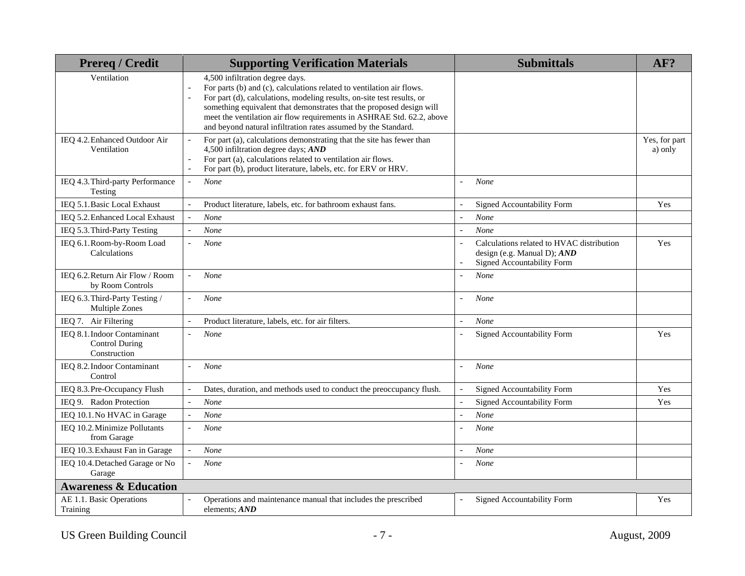| <b>Prereg / Credit</b>                                               | <b>Supporting Verification Materials</b>                                                                                                                                                                                                                                                                                                                                                                                          | <b>Submittals</b>                                                                                                                  | AF?                      |
|----------------------------------------------------------------------|-----------------------------------------------------------------------------------------------------------------------------------------------------------------------------------------------------------------------------------------------------------------------------------------------------------------------------------------------------------------------------------------------------------------------------------|------------------------------------------------------------------------------------------------------------------------------------|--------------------------|
| Ventilation                                                          | 4,500 infiltration degree days.<br>For parts (b) and (c), calculations related to ventilation air flows.<br>$\overline{\phantom{a}}$<br>For part (d), calculations, modeling results, on-site test results, or<br>something equivalent that demonstrates that the proposed design will<br>meet the ventilation air flow requirements in ASHRAE Std. 62.2, above<br>and beyond natural infiltration rates assumed by the Standard. |                                                                                                                                    |                          |
| IEQ 4.2. Enhanced Outdoor Air<br>Ventilation                         | For part (a), calculations demonstrating that the site has fewer than<br>4,500 infiltration degree days; AND<br>For part (a), calculations related to ventilation air flows.<br>$\equiv$<br>$\equiv$<br>For part (b), product literature, labels, etc. for ERV or HRV.                                                                                                                                                            |                                                                                                                                    | Yes, for part<br>a) only |
| IEQ 4.3. Third-party Performance<br>Testing                          | None<br>$\qquad \qquad -$                                                                                                                                                                                                                                                                                                                                                                                                         | None<br>$\overline{a}$                                                                                                             |                          |
| IEQ 5.1. Basic Local Exhaust                                         | Product literature, labels, etc. for bathroom exhaust fans.                                                                                                                                                                                                                                                                                                                                                                       | Signed Accountability Form                                                                                                         | Yes                      |
| IEO 5.2. Enhanced Local Exhaust                                      | None<br>L.                                                                                                                                                                                                                                                                                                                                                                                                                        | None<br>$\overline{a}$                                                                                                             |                          |
| IEQ 5.3. Third-Party Testing                                         | None<br>$\overline{\phantom{a}}$                                                                                                                                                                                                                                                                                                                                                                                                  | None<br>$\overline{\phantom{0}}$                                                                                                   |                          |
| IEQ 6.1. Room-by-Room Load<br>Calculations                           | None<br>$\overline{\phantom{a}}$                                                                                                                                                                                                                                                                                                                                                                                                  | Calculations related to HVAC distribution<br>$\overline{\phantom{a}}$<br>design (e.g. Manual D); AND<br>Signed Accountability Form | Yes                      |
| IEQ 6.2. Return Air Flow / Room<br>by Room Controls                  | None<br>$\overline{\phantom{a}}$                                                                                                                                                                                                                                                                                                                                                                                                  | <b>None</b><br>$\overline{a}$                                                                                                      |                          |
| IEQ 6.3. Third-Party Testing /<br>Multiple Zones                     | None<br>$\equiv$                                                                                                                                                                                                                                                                                                                                                                                                                  | <b>None</b><br>$\overline{\phantom{a}}$                                                                                            |                          |
| IEQ 7. Air Filtering                                                 | Product literature, labels, etc. for air filters.                                                                                                                                                                                                                                                                                                                                                                                 | None<br>$\overline{\phantom{a}}$                                                                                                   |                          |
| IEQ 8.1. Indoor Contaminant<br><b>Control During</b><br>Construction | None<br>$\equiv$                                                                                                                                                                                                                                                                                                                                                                                                                  | Signed Accountability Form                                                                                                         | Yes                      |
| IEQ 8.2. Indoor Contaminant<br>Control                               | None<br>$\equiv$                                                                                                                                                                                                                                                                                                                                                                                                                  | None<br>$\equiv$                                                                                                                   |                          |
| IEQ 8.3. Pre-Occupancy Flush                                         | Dates, duration, and methods used to conduct the preoccupancy flush.                                                                                                                                                                                                                                                                                                                                                              | Signed Accountability Form                                                                                                         | Yes                      |
| IEQ 9. Radon Protection                                              | None<br>$\equiv$                                                                                                                                                                                                                                                                                                                                                                                                                  | Signed Accountability Form                                                                                                         | Yes                      |
| IEQ 10.1. No HVAC in Garage                                          | None<br>$\overline{\phantom{0}}$                                                                                                                                                                                                                                                                                                                                                                                                  | None<br>$\overline{\phantom{0}}$                                                                                                   |                          |
| IEQ 10.2. Minimize Pollutants<br>from Garage                         | None                                                                                                                                                                                                                                                                                                                                                                                                                              | None                                                                                                                               |                          |
| IEQ 10.3. Exhaust Fan in Garage                                      | None                                                                                                                                                                                                                                                                                                                                                                                                                              | None<br>$\qquad \qquad -$                                                                                                          |                          |
| IEQ 10.4. Detached Garage or No<br>Garage                            | <b>None</b>                                                                                                                                                                                                                                                                                                                                                                                                                       | None                                                                                                                               |                          |
| <b>Awareness &amp; Education</b>                                     |                                                                                                                                                                                                                                                                                                                                                                                                                                   |                                                                                                                                    |                          |
| AE 1.1. Basic Operations<br>Training                                 | Operations and maintenance manual that includes the prescribed<br>$\overline{\phantom{a}}$<br>elements; AND                                                                                                                                                                                                                                                                                                                       | Signed Accountability Form<br>$\overline{\phantom{a}}$                                                                             | Yes                      |